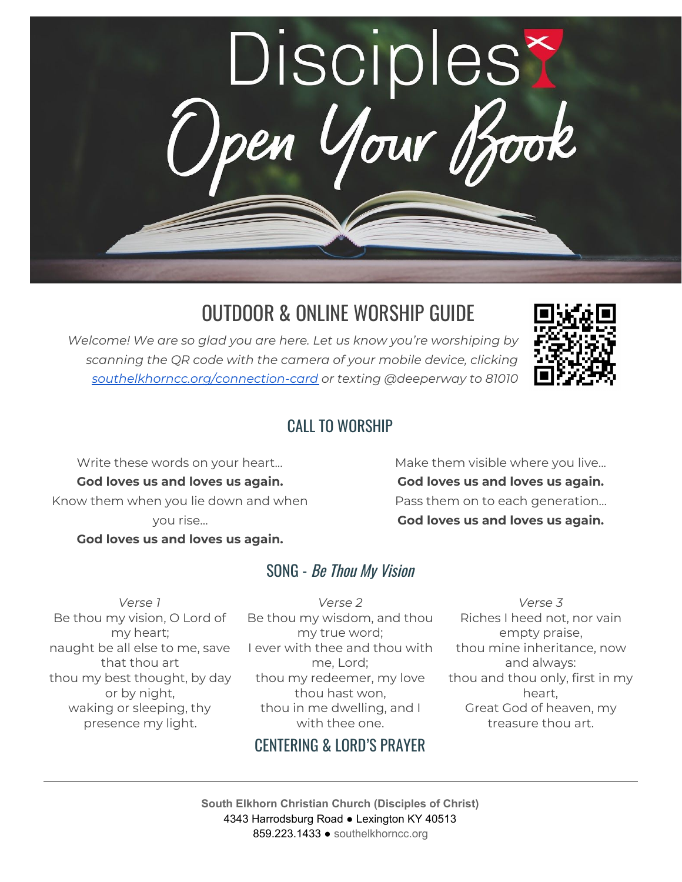

# OUTDOOR & ONLINE WORSHIP GUIDE

*Welcome! We are so glad you are here. Let us know you're worshiping by scanning the QR code with the camera of your mobile device, clicking [southelkhorncc.org/connection-card](https://www.southelkhorncc.org/connection-card) or texting @deeperway to 81010*



### CALL TO WORSHIP

Write these words on your heart... **God loves us and loves us again.** Know them when you lie down and when you rise...

**God loves us and loves us again.**

Make them visible where you live... **God loves us and loves us again.** Pass them on to each generation… **God loves us and loves us again.**

### SONG - Be Thou My Vision

*Verse 1* Be thou my vision, O Lord of my heart; naught be all else to me, save that thou art thou my best thought, by day or by night, waking or sleeping, thy presence my light.

*Verse 2* Be thou my wisdom, and thou my true word; I ever with thee and thou with me, Lord; thou my redeemer, my love thou hast won, thou in me dwelling, and I with thee one.

### CENTERING & LORD'S PRAYER

*Verse 3* Riches I heed not, nor vain empty praise, thou mine inheritance, now and always: thou and thou only, first in my heart, Great God of heaven, my treasure thou art.

**South Elkhorn Christian Church (Disciples of Christ)** 4343 Harrodsburg Road ● Lexington KY 40513 859.223.1433 ● [southelkhorncc.org](http://www.southelkhorncc.org/)